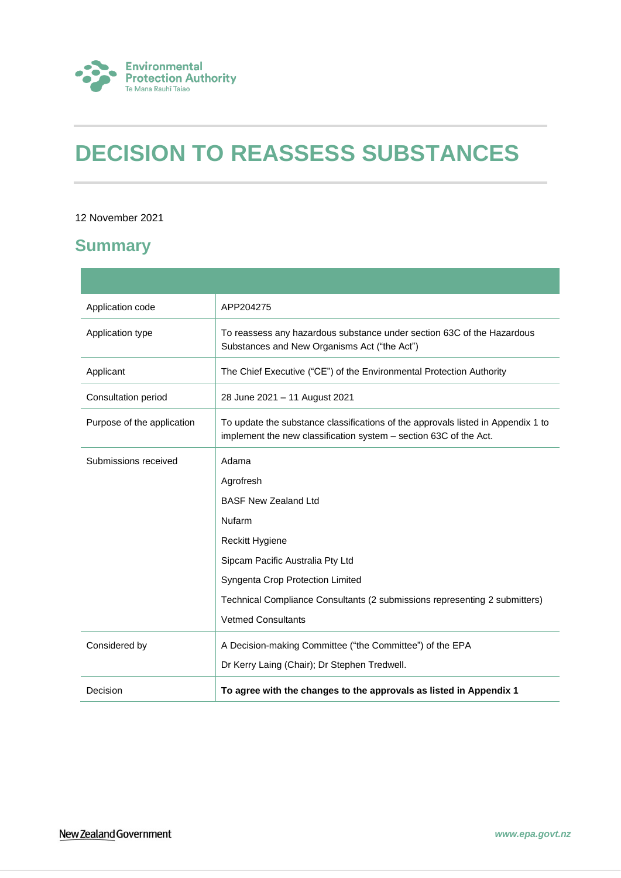

# **DECISION TO REASSESS SUBSTANCES**

## 12 November 2021

## **Summary**

| Application code              | APP204275                                                                                                                                             |  |
|-------------------------------|-------------------------------------------------------------------------------------------------------------------------------------------------------|--|
| Application type              | To reassess any hazardous substance under section 63C of the Hazardous<br>Substances and New Organisms Act ("the Act")                                |  |
| Applicant                     | The Chief Executive ("CE") of the Environmental Protection Authority                                                                                  |  |
| Consultation period           | 28 June 2021 - 11 August 2021                                                                                                                         |  |
| Purpose of the application    | To update the substance classifications of the approvals listed in Appendix 1 to<br>implement the new classification system - section 63C of the Act. |  |
| Submissions received<br>Adama |                                                                                                                                                       |  |
|                               | Agrofresh                                                                                                                                             |  |
|                               | <b>BASF New Zealand Ltd</b>                                                                                                                           |  |
|                               | Nufarm                                                                                                                                                |  |
|                               | Reckitt Hygiene                                                                                                                                       |  |
|                               | Sipcam Pacific Australia Pty Ltd                                                                                                                      |  |
|                               | Syngenta Crop Protection Limited                                                                                                                      |  |
|                               | Technical Compliance Consultants (2 submissions representing 2 submitters)                                                                            |  |
|                               | <b>Vetmed Consultants</b>                                                                                                                             |  |
| Considered by                 | A Decision-making Committee ("the Committee") of the EPA                                                                                              |  |
|                               | Dr Kerry Laing (Chair); Dr Stephen Tredwell.                                                                                                          |  |
| Decision                      | To agree with the changes to the approvals as listed in Appendix 1                                                                                    |  |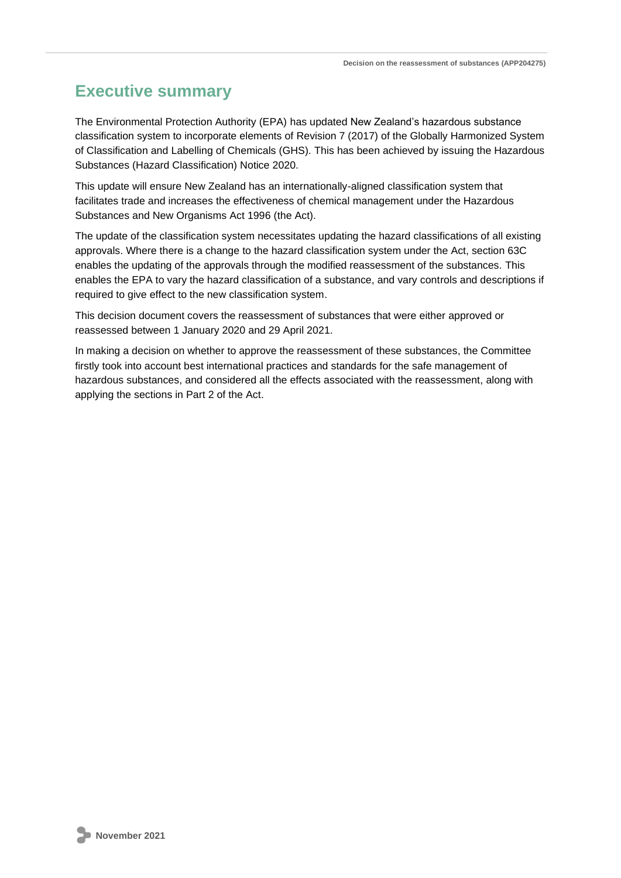## **Executive summary**

The Environmental Protection Authority (EPA) has updated New Zealand's hazardous substance classification system to incorporate elements of Revision 7 (2017) of the Globally Harmonized System of Classification and Labelling of Chemicals (GHS). This has been achieved by issuing the Hazardous Substances (Hazard Classification) Notice 2020.

This update will ensure New Zealand has an internationally-aligned classification system that facilitates trade and increases the effectiveness of chemical management under the Hazardous Substances and New Organisms Act 1996 (the Act).

The update of the classification system necessitates updating the hazard classifications of all existing approvals. Where there is a change to the hazard classification system under the Act, section 63C enables the updating of the approvals through the modified reassessment of the substances. This enables the EPA to vary the hazard classification of a substance, and vary controls and descriptions if required to give effect to the new classification system.

This decision document covers the reassessment of substances that were either approved or reassessed between 1 January 2020 and 29 April 2021.

In making a decision on whether to approve the reassessment of these substances, the Committee firstly took into account best international practices and standards for the safe management of hazardous substances, and considered all the effects associated with the reassessment, along with applying the sections in Part 2 of the Act.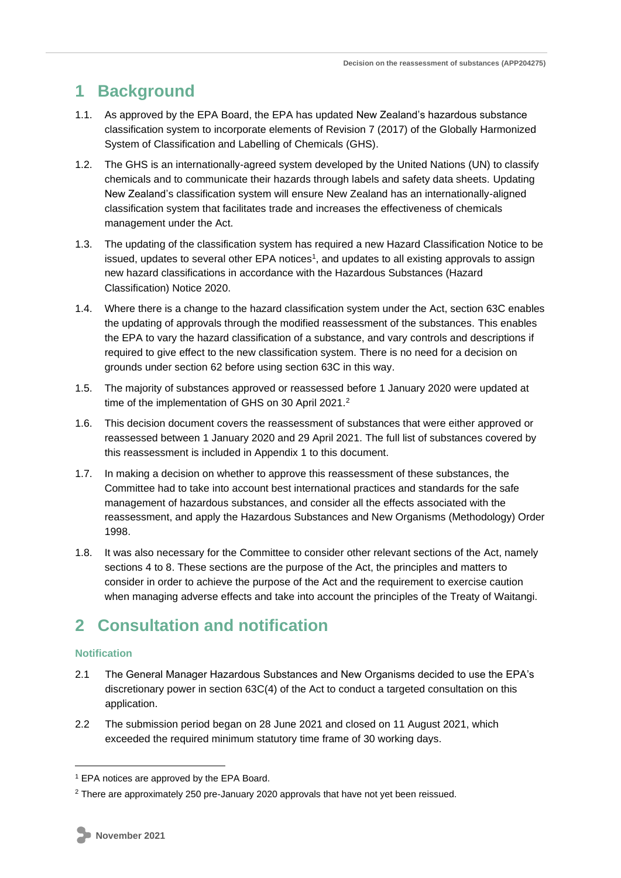## **1 Background**

- 1.1. As approved by the EPA Board, the EPA has updated New Zealand's hazardous substance classification system to incorporate elements of Revision 7 (2017) of the Globally Harmonized System of Classification and Labelling of Chemicals (GHS).
- 1.2. The GHS is an internationally-agreed system developed by the United Nations (UN) to classify chemicals and to communicate their hazards through labels and safety data sheets. Updating New Zealand's classification system will ensure New Zealand has an internationally-aligned classification system that facilitates trade and increases the effectiveness of chemicals management under the Act.
- 1.3. The updating of the classification system has required a new Hazard Classification Notice to be issued, updates to several other EPA notices<sup>1</sup>, and updates to all existing approvals to assign new hazard classifications in accordance with the Hazardous Substances (Hazard Classification) Notice 2020.
- 1.4. Where there is a change to the hazard classification system under the Act, section 63C enables the updating of approvals through the modified reassessment of the substances. This enables the EPA to vary the hazard classification of a substance, and vary controls and descriptions if required to give effect to the new classification system. There is no need for a decision on grounds under section 62 before using section 63C in this way.
- 1.5. The majority of substances approved or reassessed before 1 January 2020 were updated at time of the implementation of GHS on 30 April 2021.<sup>2</sup>
- 1.6. This decision document covers the reassessment of substances that were either approved or reassessed between 1 January 2020 and 29 April 2021. The full list of substances covered by this reassessment is included in Appendix 1 to this document.
- 1.7. In making a decision on whether to approve this reassessment of these substances, the Committee had to take into account best international practices and standards for the safe management of hazardous substances, and consider all the effects associated with the reassessment, and apply the Hazardous Substances and New Organisms (Methodology) Order 1998.
- 1.8. It was also necessary for the Committee to consider other relevant sections of the Act, namely sections 4 to 8. These sections are the purpose of the Act, the principles and matters to consider in order to achieve the purpose of the Act and the requirement to exercise caution when managing adverse effects and take into account the principles of the Treaty of Waitangi.

## **2 Consultation and notification**

## **Notification**

- 2.1 The General Manager Hazardous Substances and New Organisms decided to use the EPA's discretionary power in section 63C(4) of the Act to conduct a targeted consultation on this application.
- 2.2 The submission period began on 28 June 2021 and closed on 11 August 2021, which exceeded the required minimum statutory time frame of 30 working days.

<sup>&</sup>lt;sup>1</sup> EPA notices are approved by the EPA Board.

<sup>&</sup>lt;sup>2</sup> There are approximately 250 pre-January 2020 approvals that have not yet been reissued.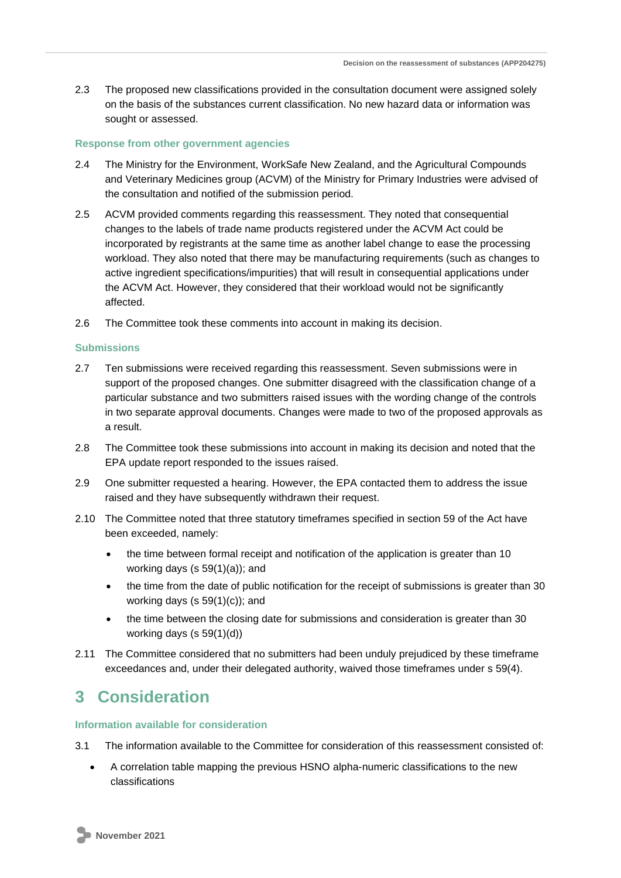2.3 The proposed new classifications provided in the consultation document were assigned solely on the basis of the substances current classification. No new hazard data or information was sought or assessed.

### **Response from other government agencies**

- 2.4 The Ministry for the Environment, WorkSafe New Zealand, and the Agricultural Compounds and Veterinary Medicines group (ACVM) of the Ministry for Primary Industries were advised of the consultation and notified of the submission period.
- 2.5 ACVM provided comments regarding this reassessment. They noted that consequential changes to the labels of trade name products registered under the ACVM Act could be incorporated by registrants at the same time as another label change to ease the processing workload. They also noted that there may be manufacturing requirements (such as changes to active ingredient specifications/impurities) that will result in consequential applications under the ACVM Act. However, they considered that their workload would not be significantly affected.
- 2.6 The Committee took these comments into account in making its decision.

### **Submissions**

- 2.7 Ten submissions were received regarding this reassessment. Seven submissions were in support of the proposed changes. One submitter disagreed with the classification change of a particular substance and two submitters raised issues with the wording change of the controls in two separate approval documents. Changes were made to two of the proposed approvals as a result.
- 2.8 The Committee took these submissions into account in making its decision and noted that the EPA update report responded to the issues raised.
- 2.9 One submitter requested a hearing. However, the EPA contacted them to address the issue raised and they have subsequently withdrawn their request.
- 2.10 The Committee noted that three statutory timeframes specified in section 59 of the Act have been exceeded, namely:
	- the time between formal receipt and notification of the application is greater than 10 working days (s 59(1)(a)); and
	- the time from the date of public notification for the receipt of submissions is greater than 30 working days (s  $59(1)(c)$ ); and
	- the time between the closing date for submissions and consideration is greater than 30 working days (s 59(1)(d))
- 2.11 The Committee considered that no submitters had been unduly prejudiced by these timeframe exceedances and, under their delegated authority, waived those timeframes under s 59(4).

## **3 Consideration**

## **Information available for consideration**

- 3.1 The information available to the Committee for consideration of this reassessment consisted of:
	- A correlation table mapping the previous HSNO alpha-numeric classifications to the new classifications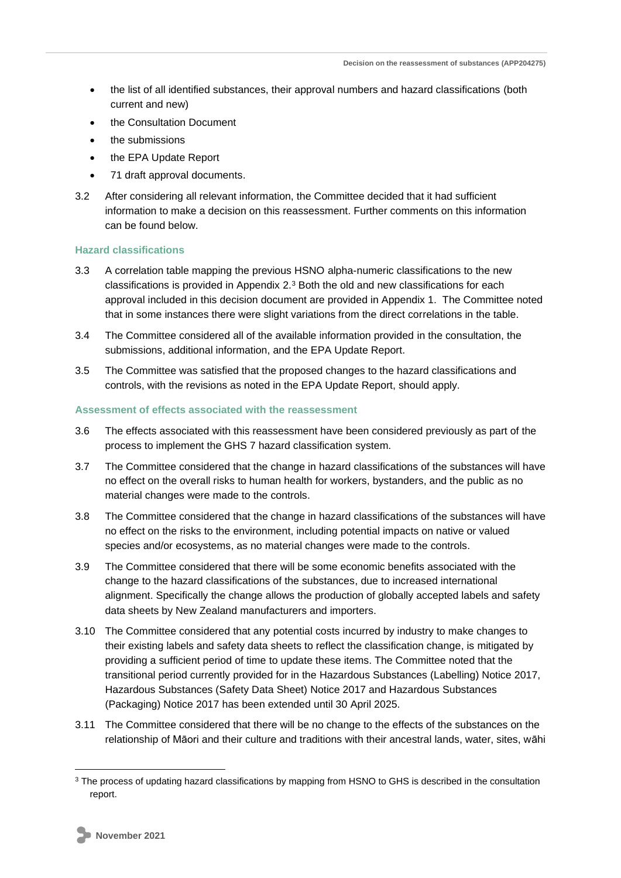- the list of all identified substances, their approval numbers and hazard classifications (both current and new)
- the Consultation Document
- the submissions
- the EPA Update Report
- 71 draft approval documents.
- 3.2 After considering all relevant information, the Committee decided that it had sufficient information to make a decision on this reassessment. Further comments on this information can be found below.

### **Hazard classifications**

- 3.3 A correlation table mapping the previous HSNO alpha-numeric classifications to the new classifications is provided in Appendix  $2.3$  Both the old and new classifications for each approval included in this decision document are provided in Appendix 1. The Committee noted that in some instances there were slight variations from the direct correlations in the table.
- 3.4 The Committee considered all of the available information provided in the consultation, the submissions, additional information, and the EPA Update Report.
- 3.5 The Committee was satisfied that the proposed changes to the hazard classifications and controls, with the revisions as noted in the EPA Update Report, should apply.

### **Assessment of effects associated with the reassessment**

- 3.6 The effects associated with this reassessment have been considered previously as part of the process to implement the GHS 7 hazard classification system.
- 3.7 The Committee considered that the change in hazard classifications of the substances will have no effect on the overall risks to human health for workers, bystanders, and the public as no material changes were made to the controls.
- 3.8 The Committee considered that the change in hazard classifications of the substances will have no effect on the risks to the environment, including potential impacts on native or valued species and/or ecosystems, as no material changes were made to the controls.
- 3.9 The Committee considered that there will be some economic benefits associated with the change to the hazard classifications of the substances, due to increased international alignment. Specifically the change allows the production of globally accepted labels and safety data sheets by New Zealand manufacturers and importers.
- 3.10 The Committee considered that any potential costs incurred by industry to make changes to their existing labels and safety data sheets to reflect the classification change, is mitigated by providing a sufficient period of time to update these items. The Committee noted that the transitional period currently provided for in the Hazardous Substances (Labelling) Notice 2017, Hazardous Substances (Safety Data Sheet) Notice 2017 and Hazardous Substances (Packaging) Notice 2017 has been extended until 30 April 2025.
- 3.11 The Committee considered that there will be no change to the effects of the substances on the relationship of Māori and their culture and traditions with their ancestral lands, water, sites, wāhi

<sup>&</sup>lt;sup>3</sup> The process of updating hazard classifications by mapping from HSNO to GHS is described in the consultation report.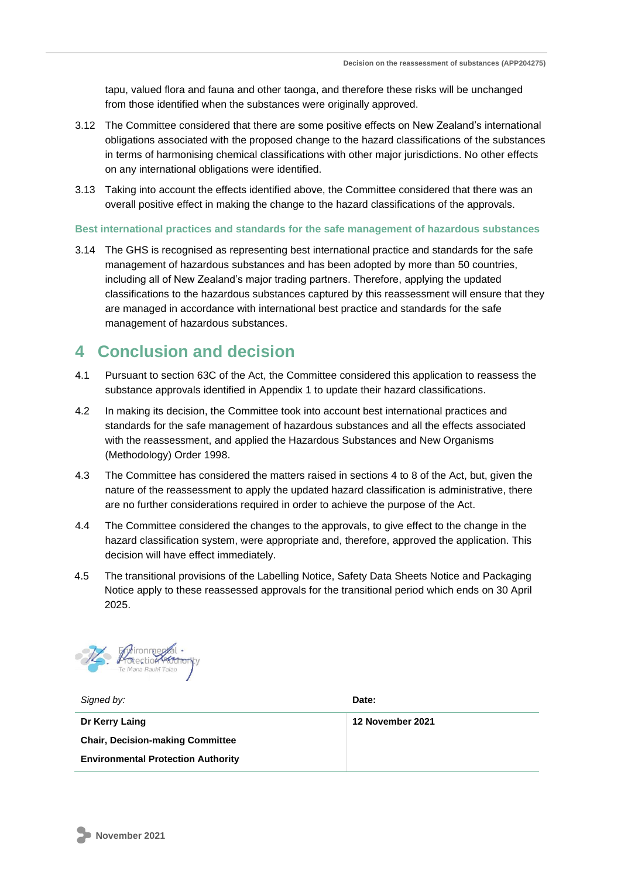tapu, valued flora and fauna and other taonga, and therefore these risks will be unchanged from those identified when the substances were originally approved.

- 3.12 The Committee considered that there are some positive effects on New Zealand's international obligations associated with the proposed change to the hazard classifications of the substances in terms of harmonising chemical classifications with other major jurisdictions. No other effects on any international obligations were identified.
- 3.13 Taking into account the effects identified above, the Committee considered that there was an overall positive effect in making the change to the hazard classifications of the approvals.

### **Best international practices and standards for the safe management of hazardous substances**

3.14 The GHS is recognised as representing best international practice and standards for the safe management of hazardous substances and has been adopted by more than 50 countries, including all of New Zealand's major trading partners. Therefore, applying the updated classifications to the hazardous substances captured by this reassessment will ensure that they are managed in accordance with international best practice and standards for the safe management of hazardous substances.

## **4 Conclusion and decision**

- 4.1 Pursuant to section 63C of the Act, the Committee considered this application to reassess the substance approvals identified in Appendix 1 to update their hazard classifications.
- 4.2 In making its decision, the Committee took into account best international practices and standards for the safe management of hazardous substances and all the effects associated with the reassessment, and applied the Hazardous Substances and New Organisms (Methodology) Order 1998.
- 4.3 The Committee has considered the matters raised in sections 4 to 8 of the Act, but, given the nature of the reassessment to apply the updated hazard classification is administrative, there are no further considerations required in order to achieve the purpose of the Act.
- 4.4 The Committee considered the changes to the approvals, to give effect to the change in the hazard classification system, were appropriate and, therefore, approved the application. This decision will have effect immediately.
- 4.5 The transitional provisions of the Labelling Notice, Safety Data Sheets Notice and Packaging Notice apply to these reassessed approvals for the transitional period which ends on 30 April 2025.



*Signed by:* **Date:** 

**Dr Kerry Laing Chair, Decision-making Committee Environmental Protection Authority**

**12 November 2021**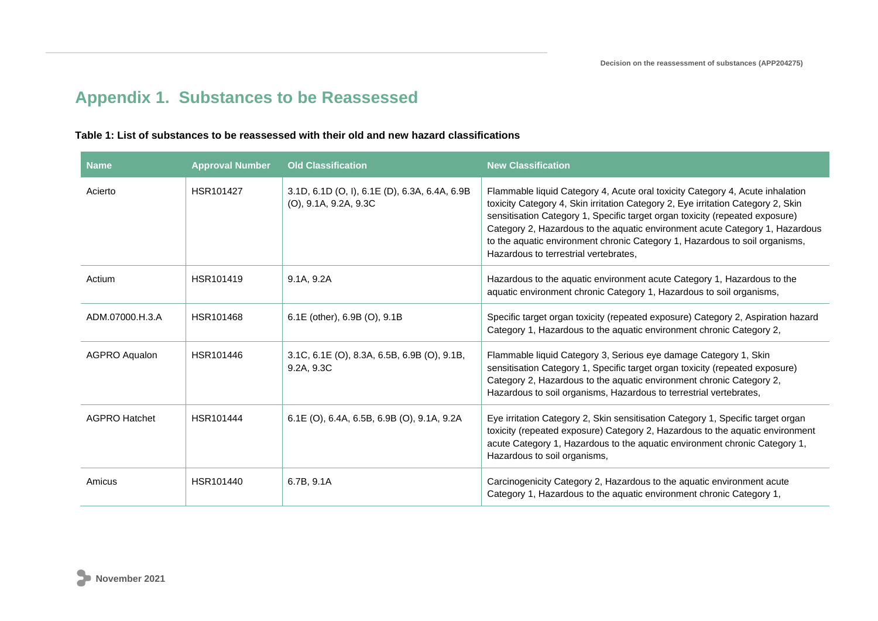## **Appendix 1. Substances to be Reassessed**

### **Table 1: List of substances to be reassessed with their old and new hazard classifications**

| <b>Name</b>          | <b>Approval Number</b> | <b>Old Classification</b>                                                 | <b>New Classification</b>                                                                                                                                                                                                                                                                                                                                                                                                                                 |
|----------------------|------------------------|---------------------------------------------------------------------------|-----------------------------------------------------------------------------------------------------------------------------------------------------------------------------------------------------------------------------------------------------------------------------------------------------------------------------------------------------------------------------------------------------------------------------------------------------------|
| Acierto              | HSR101427              | 3.1D, 6.1D (O, I), 6.1E (D), 6.3A, 6.4A, 6.9B<br>$(O)$ , 9.1A, 9.2A, 9.3C | Flammable liquid Category 4, Acute oral toxicity Category 4, Acute inhalation<br>toxicity Category 4, Skin irritation Category 2, Eye irritation Category 2, Skin<br>sensitisation Category 1, Specific target organ toxicity (repeated exposure)<br>Category 2, Hazardous to the aquatic environment acute Category 1, Hazardous<br>to the aquatic environment chronic Category 1, Hazardous to soil organisms,<br>Hazardous to terrestrial vertebrates, |
| Actium               | HSR101419              | 9.1A, 9.2A                                                                | Hazardous to the aquatic environment acute Category 1, Hazardous to the<br>aquatic environment chronic Category 1, Hazardous to soil organisms,                                                                                                                                                                                                                                                                                                           |
| ADM.07000.H.3.A      | HSR101468              | 6.1E (other), 6.9B (O), 9.1B                                              | Specific target organ toxicity (repeated exposure) Category 2, Aspiration hazard<br>Category 1, Hazardous to the aquatic environment chronic Category 2,                                                                                                                                                                                                                                                                                                  |
| <b>AGPRO Aqualon</b> | HSR101446              | 3.1C, 6.1E (O), 8.3A, 6.5B, 6.9B (O), 9.1B,<br>9.2A, 9.3C                 | Flammable liquid Category 3, Serious eye damage Category 1, Skin<br>sensitisation Category 1, Specific target organ toxicity (repeated exposure)<br>Category 2, Hazardous to the aquatic environment chronic Category 2,<br>Hazardous to soil organisms, Hazardous to terrestrial vertebrates,                                                                                                                                                            |
| <b>AGPRO Hatchet</b> | HSR101444              | 6.1E (O), 6.4A, 6.5B, 6.9B (O), 9.1A, 9.2A                                | Eye irritation Category 2, Skin sensitisation Category 1, Specific target organ<br>toxicity (repeated exposure) Category 2, Hazardous to the aquatic environment<br>acute Category 1, Hazardous to the aquatic environment chronic Category 1,<br>Hazardous to soil organisms,                                                                                                                                                                            |
| Amicus               | HSR101440              | 6.7B, 9.1A                                                                | Carcinogenicity Category 2, Hazardous to the aquatic environment acute<br>Category 1, Hazardous to the aquatic environment chronic Category 1,                                                                                                                                                                                                                                                                                                            |

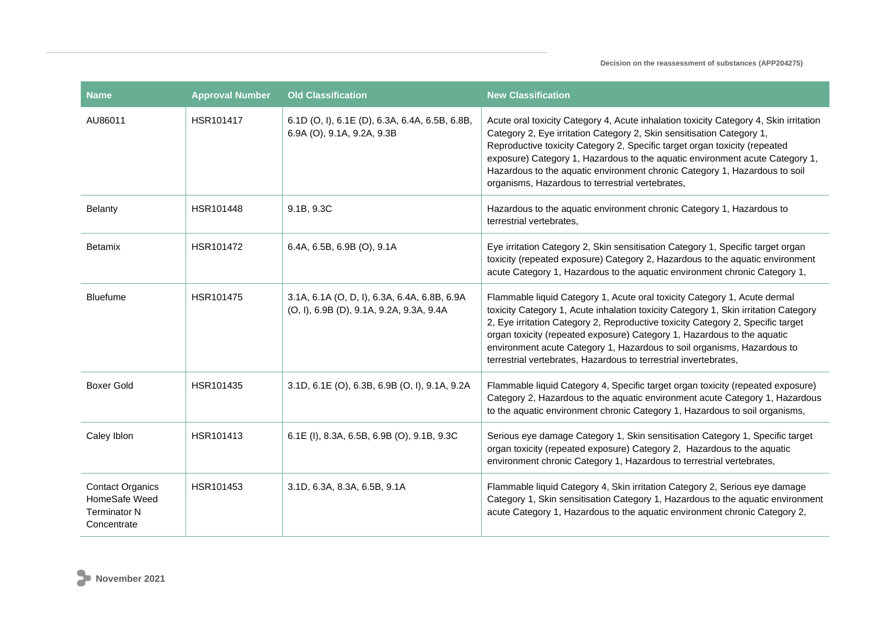| <b>Name</b>                                                                    | <b>Approval Number</b> | <b>Old Classification</b>                                                                | <b>New Classification</b>                                                                                                                                                                                                                                                                                                                                                                                                                                                     |
|--------------------------------------------------------------------------------|------------------------|------------------------------------------------------------------------------------------|-------------------------------------------------------------------------------------------------------------------------------------------------------------------------------------------------------------------------------------------------------------------------------------------------------------------------------------------------------------------------------------------------------------------------------------------------------------------------------|
| AU86011                                                                        | HSR101417              | 6.1D (O, I), 6.1E (D), 6.3A, 6.4A, 6.5B, 6.8B,<br>6.9A (O), 9.1A, 9.2A, 9.3B             | Acute oral toxicity Category 4, Acute inhalation toxicity Category 4, Skin irritation<br>Category 2, Eye irritation Category 2, Skin sensitisation Category 1,<br>Reproductive toxicity Category 2, Specific target organ toxicity (repeated<br>exposure) Category 1, Hazardous to the aquatic environment acute Category 1,<br>Hazardous to the aquatic environment chronic Category 1, Hazardous to soil<br>organisms, Hazardous to terrestrial vertebrates,                |
| Belanty                                                                        | HSR101448              | 9.1B, 9.3C                                                                               | Hazardous to the aquatic environment chronic Category 1, Hazardous to<br>terrestrial vertebrates,                                                                                                                                                                                                                                                                                                                                                                             |
| <b>Betamix</b>                                                                 | HSR101472              | 6.4A, 6.5B, 6.9B (O), 9.1A                                                               | Eye irritation Category 2, Skin sensitisation Category 1, Specific target organ<br>toxicity (repeated exposure) Category 2, Hazardous to the aquatic environment<br>acute Category 1, Hazardous to the aquatic environment chronic Category 1,                                                                                                                                                                                                                                |
| Bluefume                                                                       | HSR101475              | 3.1A, 6.1A (O, D, I), 6.3A, 6.4A, 6.8B, 6.9A<br>(O, I), 6.9B (D), 9.1A, 9.2A, 9.3A, 9.4A | Flammable liquid Category 1, Acute oral toxicity Category 1, Acute dermal<br>toxicity Category 1, Acute inhalation toxicity Category 1, Skin irritation Category<br>2, Eye irritation Category 2, Reproductive toxicity Category 2, Specific target<br>organ toxicity (repeated exposure) Category 1, Hazardous to the aquatic<br>environment acute Category 1, Hazardous to soil organisms, Hazardous to<br>terrestrial vertebrates, Hazardous to terrestrial invertebrates, |
| Boxer Gold                                                                     | HSR101435              | 3.1D, 6.1E (O), 6.3B, 6.9B (O, I), 9.1A, 9.2A                                            | Flammable liquid Category 4, Specific target organ toxicity (repeated exposure)<br>Category 2, Hazardous to the aquatic environment acute Category 1, Hazardous<br>to the aquatic environment chronic Category 1, Hazardous to soil organisms,                                                                                                                                                                                                                                |
| Caley Iblon                                                                    | HSR101413              | 6.1E (I), 8.3A, 6.5B, 6.9B (O), 9.1B, 9.3C                                               | Serious eye damage Category 1, Skin sensitisation Category 1, Specific target<br>organ toxicity (repeated exposure) Category 2, Hazardous to the aquatic<br>environment chronic Category 1, Hazardous to terrestrial vertebrates,                                                                                                                                                                                                                                             |
| <b>Contact Organics</b><br>HomeSafe Weed<br><b>Terminator N</b><br>Concentrate | HSR101453              | 3.1D, 6.3A, 8.3A, 6.5B, 9.1A                                                             | Flammable liquid Category 4, Skin irritation Category 2, Serious eye damage<br>Category 1, Skin sensitisation Category 1, Hazardous to the aquatic environment<br>acute Category 1, Hazardous to the aquatic environment chronic Category 2,                                                                                                                                                                                                                                  |

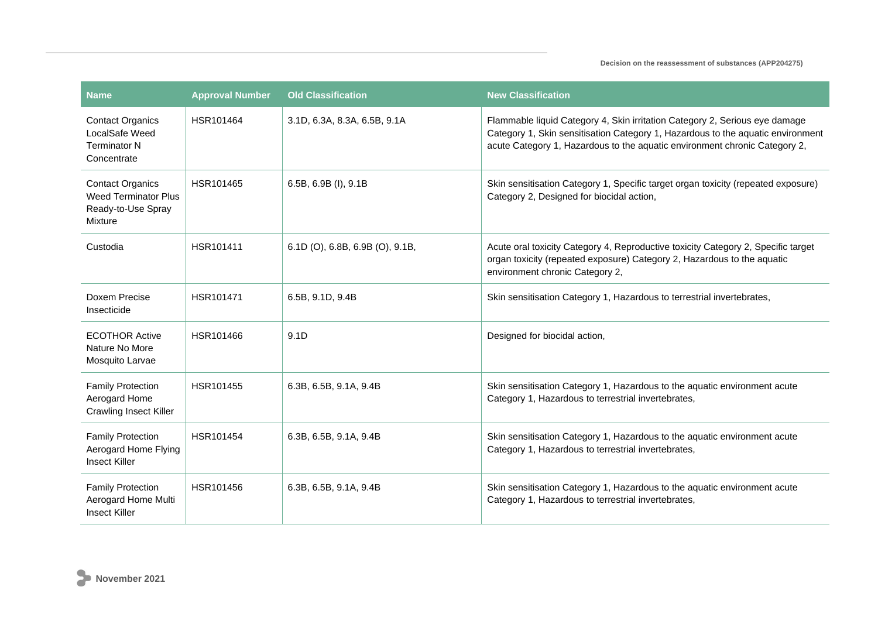| Name                                                                                    | <b>Approval Number</b> | <b>Old Classification</b>       | <b>New Classification</b>                                                                                                                                                                                                                    |
|-----------------------------------------------------------------------------------------|------------------------|---------------------------------|----------------------------------------------------------------------------------------------------------------------------------------------------------------------------------------------------------------------------------------------|
| <b>Contact Organics</b><br>LocalSafe Weed<br><b>Terminator N</b><br>Concentrate         | HSR101464              | 3.1D, 6.3A, 8.3A, 6.5B, 9.1A    | Flammable liquid Category 4, Skin irritation Category 2, Serious eye damage<br>Category 1, Skin sensitisation Category 1, Hazardous to the aquatic environment<br>acute Category 1, Hazardous to the aquatic environment chronic Category 2, |
| <b>Contact Organics</b><br><b>Weed Terminator Plus</b><br>Ready-to-Use Spray<br>Mixture | HSR101465              | 6.5B, 6.9B (I), 9.1B            | Skin sensitisation Category 1, Specific target organ toxicity (repeated exposure)<br>Category 2, Designed for biocidal action,                                                                                                               |
| Custodia                                                                                | HSR101411              | 6.1D (O), 6.8B, 6.9B (O), 9.1B, | Acute oral toxicity Category 4, Reproductive toxicity Category 2, Specific target<br>organ toxicity (repeated exposure) Category 2, Hazardous to the aquatic<br>environment chronic Category 2,                                              |
| Doxem Precise<br>Insecticide                                                            | HSR101471              | 6.5B, 9.1D, 9.4B                | Skin sensitisation Category 1, Hazardous to terrestrial invertebrates,                                                                                                                                                                       |
| <b>ECOTHOR Active</b><br>Nature No More<br>Mosquito Larvae                              | HSR101466              | 9.1D                            | Designed for biocidal action,                                                                                                                                                                                                                |
| <b>Family Protection</b><br>Aerogard Home<br><b>Crawling Insect Killer</b>              | HSR101455              | 6.3B, 6.5B, 9.1A, 9.4B          | Skin sensitisation Category 1, Hazardous to the aquatic environment acute<br>Category 1, Hazardous to terrestrial invertebrates,                                                                                                             |
| <b>Family Protection</b><br>Aerogard Home Flying<br><b>Insect Killer</b>                | HSR101454              | 6.3B, 6.5B, 9.1A, 9.4B          | Skin sensitisation Category 1, Hazardous to the aquatic environment acute<br>Category 1, Hazardous to terrestrial invertebrates,                                                                                                             |
| <b>Family Protection</b><br>Aerogard Home Multi<br><b>Insect Killer</b>                 | HSR101456              | 6.3B, 6.5B, 9.1A, 9.4B          | Skin sensitisation Category 1, Hazardous to the aquatic environment acute<br>Category 1, Hazardous to terrestrial invertebrates,                                                                                                             |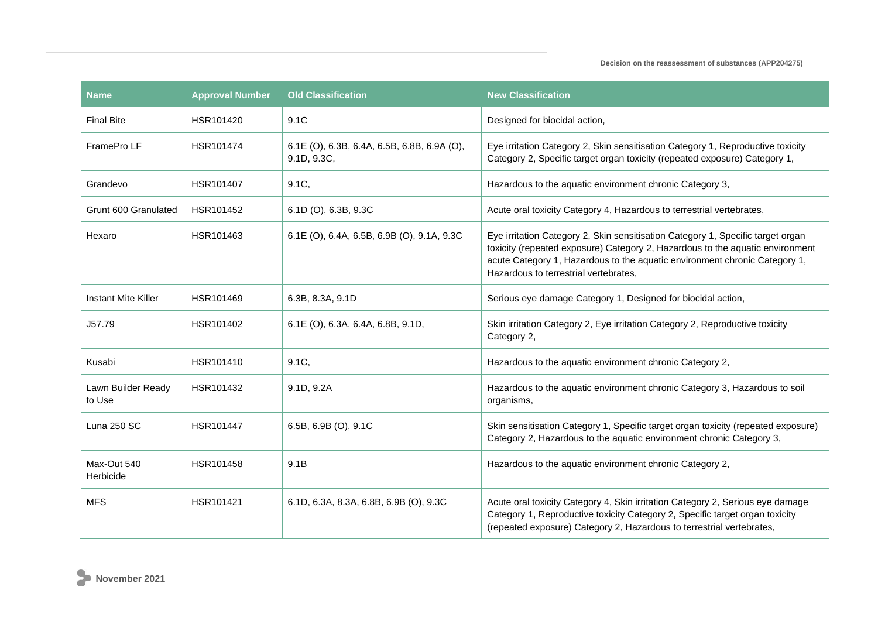| <b>Name</b>                  | <b>Approval Number</b> | <b>Old Classification</b>                                  | <b>New Classification</b>                                                                                                                                                                                                                                                               |
|------------------------------|------------------------|------------------------------------------------------------|-----------------------------------------------------------------------------------------------------------------------------------------------------------------------------------------------------------------------------------------------------------------------------------------|
| <b>Final Bite</b>            | HSR101420              | 9.1C                                                       | Designed for biocidal action,                                                                                                                                                                                                                                                           |
| FramePro LF                  | HSR101474              | 6.1E (O), 6.3B, 6.4A, 6.5B, 6.8B, 6.9A (O),<br>9.1D, 9.3C, | Eye irritation Category 2, Skin sensitisation Category 1, Reproductive toxicity<br>Category 2, Specific target organ toxicity (repeated exposure) Category 1,                                                                                                                           |
| Grandevo                     | HSR101407              | $9.1C$ ,                                                   | Hazardous to the aquatic environment chronic Category 3,                                                                                                                                                                                                                                |
| Grunt 600 Granulated         | HSR101452              | 6.1D (O), 6.3B, 9.3C                                       | Acute oral toxicity Category 4, Hazardous to terrestrial vertebrates,                                                                                                                                                                                                                   |
| Hexaro                       | HSR101463              | 6.1E (O), 6.4A, 6.5B, 6.9B (O), 9.1A, 9.3C                 | Eye irritation Category 2, Skin sensitisation Category 1, Specific target organ<br>toxicity (repeated exposure) Category 2, Hazardous to the aquatic environment<br>acute Category 1, Hazardous to the aquatic environment chronic Category 1,<br>Hazardous to terrestrial vertebrates, |
| <b>Instant Mite Killer</b>   | HSR101469              | 6.3B, 8.3A, 9.1D                                           | Serious eye damage Category 1, Designed for biocidal action,                                                                                                                                                                                                                            |
| J57.79                       | HSR101402              | 6.1E (O), 6.3A, 6.4A, 6.8B, 9.1D,                          | Skin irritation Category 2, Eye irritation Category 2, Reproductive toxicity<br>Category 2,                                                                                                                                                                                             |
| Kusabi                       | HSR101410              | 9.1C,                                                      | Hazardous to the aquatic environment chronic Category 2,                                                                                                                                                                                                                                |
| Lawn Builder Ready<br>to Use | HSR101432              | 9.1D, 9.2A                                                 | Hazardous to the aquatic environment chronic Category 3, Hazardous to soil<br>organisms,                                                                                                                                                                                                |
| Luna 250 SC                  | HSR101447              | 6.5B, $6.9B$ (O), $9.1C$                                   | Skin sensitisation Category 1, Specific target organ toxicity (repeated exposure)<br>Category 2, Hazardous to the aquatic environment chronic Category 3,                                                                                                                               |
| Max-Out 540<br>Herbicide     | HSR101458              | 9.1B                                                       | Hazardous to the aquatic environment chronic Category 2,                                                                                                                                                                                                                                |
| <b>MFS</b>                   | HSR101421              | 6.1D, 6.3A, 8.3A, 6.8B, 6.9B (O), 9.3C                     | Acute oral toxicity Category 4, Skin irritation Category 2, Serious eye damage<br>Category 1, Reproductive toxicity Category 2, Specific target organ toxicity<br>(repeated exposure) Category 2, Hazardous to terrestrial vertebrates,                                                 |

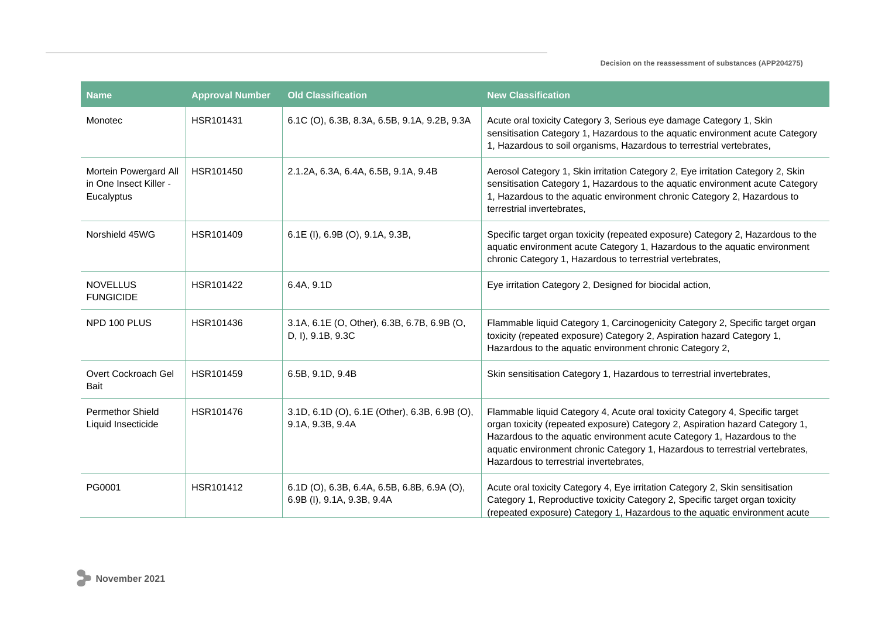| <b>Name</b>                                                   | <b>Approval Number</b> | <b>Old Classification</b>                                                 | <b>New Classification</b>                                                                                                                                                                                                                                                                                                                                           |
|---------------------------------------------------------------|------------------------|---------------------------------------------------------------------------|---------------------------------------------------------------------------------------------------------------------------------------------------------------------------------------------------------------------------------------------------------------------------------------------------------------------------------------------------------------------|
| Monotec                                                       | HSR101431              | 6.1C (O), 6.3B, 8.3A, 6.5B, 9.1A, 9.2B, 9.3A                              | Acute oral toxicity Category 3, Serious eye damage Category 1, Skin<br>sensitisation Category 1, Hazardous to the aquatic environment acute Category<br>1, Hazardous to soil organisms, Hazardous to terrestrial vertebrates,                                                                                                                                       |
| Mortein Powergard All<br>in One Insect Killer -<br>Eucalyptus | HSR101450              | 2.1.2A, 6.3A, 6.4A, 6.5B, 9.1A, 9.4B                                      | Aerosol Category 1, Skin irritation Category 2, Eye irritation Category 2, Skin<br>sensitisation Category 1, Hazardous to the aquatic environment acute Category<br>1, Hazardous to the aquatic environment chronic Category 2, Hazardous to<br>terrestrial invertebrates,                                                                                          |
| Norshield 45WG                                                | HSR101409              | 6.1E (I), 6.9B (O), 9.1A, 9.3B,                                           | Specific target organ toxicity (repeated exposure) Category 2, Hazardous to the<br>aquatic environment acute Category 1, Hazardous to the aquatic environment<br>chronic Category 1, Hazardous to terrestrial vertebrates,                                                                                                                                          |
| <b>NOVELLUS</b><br><b>FUNGICIDE</b>                           | HSR101422              | 6.4A, 9.1D                                                                | Eye irritation Category 2, Designed for biocidal action,                                                                                                                                                                                                                                                                                                            |
| NPD 100 PLUS                                                  | HSR101436              | 3.1A, 6.1E (O, Other), 6.3B, 6.7B, 6.9B (O,<br>D, I), 9.1B, 9.3C          | Flammable liquid Category 1, Carcinogenicity Category 2, Specific target organ<br>toxicity (repeated exposure) Category 2, Aspiration hazard Category 1,<br>Hazardous to the aquatic environment chronic Category 2,                                                                                                                                                |
| Overt Cockroach Gel<br>Bait                                   | HSR101459              | 6.5B, 9.1D, 9.4B                                                          | Skin sensitisation Category 1, Hazardous to terrestrial invertebrates,                                                                                                                                                                                                                                                                                              |
| <b>Permethor Shield</b><br>Liquid Insecticide                 | HSR101476              | 3.1D, 6.1D (O), 6.1E (Other), 6.3B, 6.9B (O),<br>9.1A, 9.3B, 9.4A         | Flammable liquid Category 4, Acute oral toxicity Category 4, Specific target<br>organ toxicity (repeated exposure) Category 2, Aspiration hazard Category 1,<br>Hazardous to the aquatic environment acute Category 1, Hazardous to the<br>aquatic environment chronic Category 1, Hazardous to terrestrial vertebrates,<br>Hazardous to terrestrial invertebrates, |
| PG0001                                                        | HSR101412              | 6.1D (O), 6.3B, 6.4A, 6.5B, 6.8B, 6.9A (O),<br>6.9B (I), 9.1A, 9.3B, 9.4A | Acute oral toxicity Category 4, Eye irritation Category 2, Skin sensitisation<br>Category 1, Reproductive toxicity Category 2, Specific target organ toxicity<br>(repeated exposure) Category 1, Hazardous to the aquatic environment acute                                                                                                                         |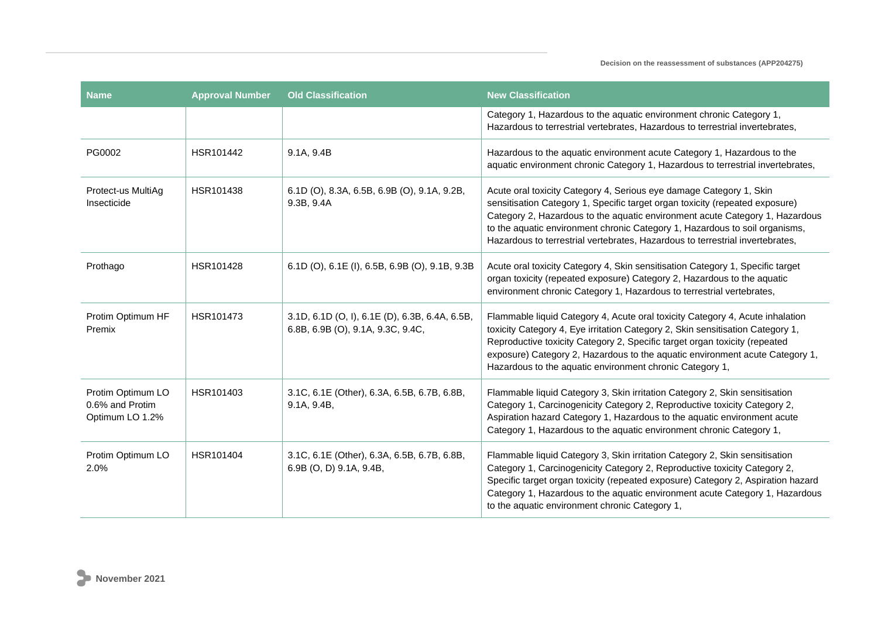| <b>Name</b>                                             | <b>Approval Number</b> | <b>Old Classification</b>                                                           | <b>New Classification</b>                                                                                                                                                                                                                                                                                                                                                                           |
|---------------------------------------------------------|------------------------|-------------------------------------------------------------------------------------|-----------------------------------------------------------------------------------------------------------------------------------------------------------------------------------------------------------------------------------------------------------------------------------------------------------------------------------------------------------------------------------------------------|
|                                                         |                        |                                                                                     | Category 1, Hazardous to the aquatic environment chronic Category 1,<br>Hazardous to terrestrial vertebrates, Hazardous to terrestrial invertebrates,                                                                                                                                                                                                                                               |
| PG0002                                                  | HSR101442              | 9.1A, 9.4B                                                                          | Hazardous to the aquatic environment acute Category 1, Hazardous to the<br>aquatic environment chronic Category 1, Hazardous to terrestrial invertebrates,                                                                                                                                                                                                                                          |
| Protect-us MultiAg<br>Insecticide                       | HSR101438              | 6.1D (O), 8.3A, 6.5B, 6.9B (O), 9.1A, 9.2B,<br>9.3B, 9.4A                           | Acute oral toxicity Category 4, Serious eye damage Category 1, Skin<br>sensitisation Category 1, Specific target organ toxicity (repeated exposure)<br>Category 2, Hazardous to the aquatic environment acute Category 1, Hazardous<br>to the aquatic environment chronic Category 1, Hazardous to soil organisms,<br>Hazardous to terrestrial vertebrates, Hazardous to terrestrial invertebrates, |
| Prothago                                                | HSR101428              | 6.1D (O), 6.1E (I), 6.5B, 6.9B (O), 9.1B, 9.3B                                      | Acute oral toxicity Category 4, Skin sensitisation Category 1, Specific target<br>organ toxicity (repeated exposure) Category 2, Hazardous to the aquatic<br>environment chronic Category 1, Hazardous to terrestrial vertebrates,                                                                                                                                                                  |
| Protim Optimum HF<br>Premix                             | HSR101473              | 3.1D, 6.1D (O, I), 6.1E (D), 6.3B, 6.4A, 6.5B,<br>6.8B, 6.9B (O), 9.1A, 9.3C, 9.4C, | Flammable liquid Category 4, Acute oral toxicity Category 4, Acute inhalation<br>toxicity Category 4, Eye irritation Category 2, Skin sensitisation Category 1,<br>Reproductive toxicity Category 2, Specific target organ toxicity (repeated<br>exposure) Category 2, Hazardous to the aquatic environment acute Category 1,<br>Hazardous to the aquatic environment chronic Category 1,           |
| Protim Optimum LO<br>0.6% and Protim<br>Optimum LO 1.2% | HSR101403              | 3.1C, 6.1E (Other), 6.3A, 6.5B, 6.7B, 6.8B,<br>9.1A, 9.4B,                          | Flammable liquid Category 3, Skin irritation Category 2, Skin sensitisation<br>Category 1, Carcinogenicity Category 2, Reproductive toxicity Category 2,<br>Aspiration hazard Category 1, Hazardous to the aquatic environment acute<br>Category 1, Hazardous to the aquatic environment chronic Category 1,                                                                                        |
| Protim Optimum LO<br>2.0%                               | HSR101404              | 3.1C, 6.1E (Other), 6.3A, 6.5B, 6.7B, 6.8B,<br>6.9B (O, D) 9.1A, 9.4B,              | Flammable liquid Category 3, Skin irritation Category 2, Skin sensitisation<br>Category 1, Carcinogenicity Category 2, Reproductive toxicity Category 2,<br>Specific target organ toxicity (repeated exposure) Category 2, Aspiration hazard<br>Category 1, Hazardous to the aquatic environment acute Category 1, Hazardous<br>to the aquatic environment chronic Category 1,                      |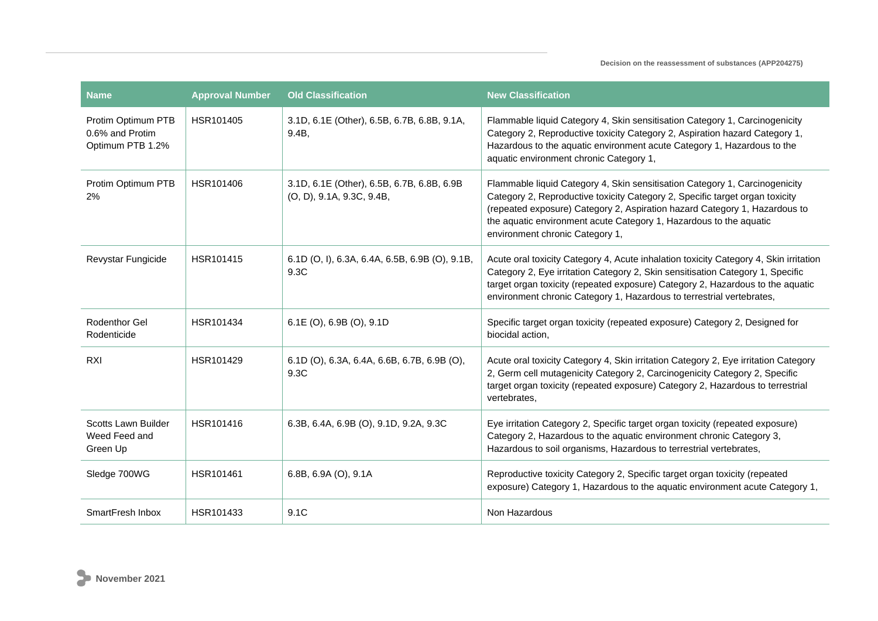| Name                                                      | <b>Approval Number</b> | <b>Old Classification</b>                                               | <b>New Classification</b>                                                                                                                                                                                                                                                                                                                          |
|-----------------------------------------------------------|------------------------|-------------------------------------------------------------------------|----------------------------------------------------------------------------------------------------------------------------------------------------------------------------------------------------------------------------------------------------------------------------------------------------------------------------------------------------|
| Protim Optimum PTB<br>0.6% and Protim<br>Optimum PTB 1.2% | HSR101405              | 3.1D, 6.1E (Other), 6.5B, 6.7B, 6.8B, 9.1A,<br>9.4B.                    | Flammable liquid Category 4, Skin sensitisation Category 1, Carcinogenicity<br>Category 2, Reproductive toxicity Category 2, Aspiration hazard Category 1,<br>Hazardous to the aquatic environment acute Category 1, Hazardous to the<br>aquatic environment chronic Category 1,                                                                   |
| Protim Optimum PTB<br>2%                                  | HSR101406              | 3.1D, 6.1E (Other), 6.5B, 6.7B, 6.8B, 6.9B<br>(O, D), 9.1A, 9.3C, 9.4B, | Flammable liquid Category 4, Skin sensitisation Category 1, Carcinogenicity<br>Category 2, Reproductive toxicity Category 2, Specific target organ toxicity<br>(repeated exposure) Category 2, Aspiration hazard Category 1, Hazardous to<br>the aquatic environment acute Category 1, Hazardous to the aquatic<br>environment chronic Category 1, |
| Revystar Fungicide                                        | HSR101415              | 6.1D (O, I), 6.3A, 6.4A, 6.5B, 6.9B (O), 9.1B,<br>9.3C                  | Acute oral toxicity Category 4, Acute inhalation toxicity Category 4, Skin irritation<br>Category 2, Eye irritation Category 2, Skin sensitisation Category 1, Specific<br>target organ toxicity (repeated exposure) Category 2, Hazardous to the aquatic<br>environment chronic Category 1, Hazardous to terrestrial vertebrates,                 |
| <b>Rodenthor Gel</b><br>Rodenticide                       | HSR101434              | $6.1E$ (O), $6.9B$ (O), $9.1D$                                          | Specific target organ toxicity (repeated exposure) Category 2, Designed for<br>biocidal action,                                                                                                                                                                                                                                                    |
| <b>RXI</b>                                                | HSR101429              | 6.1D (O), 6.3A, 6.4A, 6.6B, 6.7B, 6.9B (O),<br>9.3C                     | Acute oral toxicity Category 4, Skin irritation Category 2, Eye irritation Category<br>2, Germ cell mutagenicity Category 2, Carcinogenicity Category 2, Specific<br>target organ toxicity (repeated exposure) Category 2, Hazardous to terrestrial<br>vertebrates,                                                                                |
| Scotts Lawn Builder<br>Weed Feed and<br>Green Up          | HSR101416              | 6.3B, 6.4A, 6.9B (O), 9.1D, 9.2A, 9.3C                                  | Eye irritation Category 2, Specific target organ toxicity (repeated exposure)<br>Category 2, Hazardous to the aquatic environment chronic Category 3,<br>Hazardous to soil organisms, Hazardous to terrestrial vertebrates,                                                                                                                        |
| Sledge 700WG                                              | HSR101461              | 6.8B, $6.9A$ (O), $9.1A$                                                | Reproductive toxicity Category 2, Specific target organ toxicity (repeated<br>exposure) Category 1, Hazardous to the aquatic environment acute Category 1,                                                                                                                                                                                         |
| SmartFresh Inbox                                          | HSR101433              | 9.1C                                                                    | Non Hazardous                                                                                                                                                                                                                                                                                                                                      |

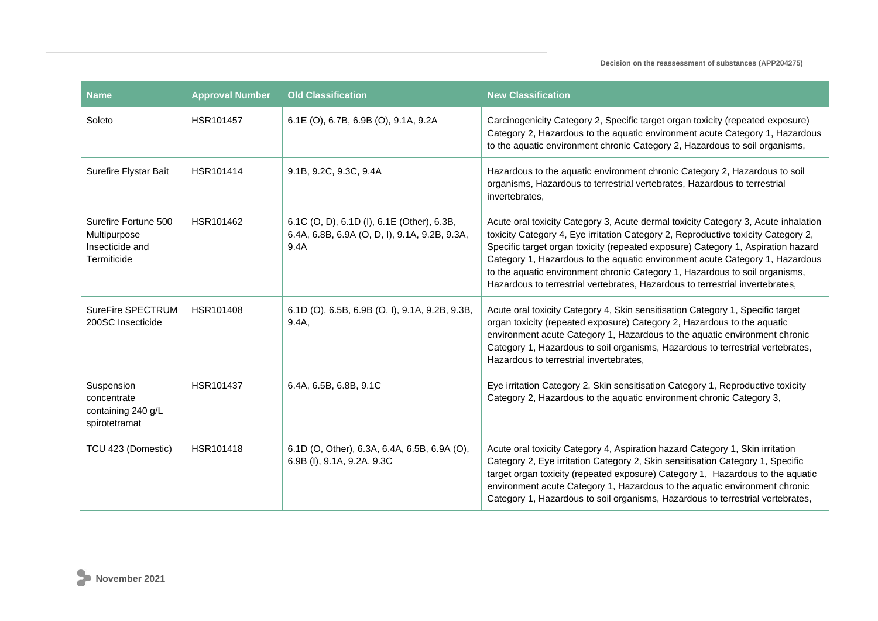| <b>Name</b>                                                            | <b>Approval Number</b> | <b>Old Classification</b>                                                                           | <b>New Classification</b>                                                                                                                                                                                                                                                                                                                                                                                                                                                                                   |
|------------------------------------------------------------------------|------------------------|-----------------------------------------------------------------------------------------------------|-------------------------------------------------------------------------------------------------------------------------------------------------------------------------------------------------------------------------------------------------------------------------------------------------------------------------------------------------------------------------------------------------------------------------------------------------------------------------------------------------------------|
| Soleto                                                                 | HSR101457              | 6.1E (O), 6.7B, 6.9B (O), 9.1A, 9.2A                                                                | Carcinogenicity Category 2, Specific target organ toxicity (repeated exposure)<br>Category 2, Hazardous to the aquatic environment acute Category 1, Hazardous<br>to the aquatic environment chronic Category 2, Hazardous to soil organisms,                                                                                                                                                                                                                                                               |
| Surefire Flystar Bait                                                  | HSR101414              | 9.1B, 9.2C, 9.3C, 9.4A                                                                              | Hazardous to the aquatic environment chronic Category 2, Hazardous to soil<br>organisms, Hazardous to terrestrial vertebrates, Hazardous to terrestrial<br>invertebrates,                                                                                                                                                                                                                                                                                                                                   |
| Surefire Fortune 500<br>Multipurpose<br>Insecticide and<br>Termiticide | HSR101462              | 6.1C (O, D), 6.1D (I), 6.1E (Other), 6.3B,<br>6.4A, 6.8B, 6.9A (O, D, I), 9.1A, 9.2B, 9.3A,<br>9.4A | Acute oral toxicity Category 3, Acute dermal toxicity Category 3, Acute inhalation<br>toxicity Category 4, Eye irritation Category 2, Reproductive toxicity Category 2,<br>Specific target organ toxicity (repeated exposure) Category 1, Aspiration hazard<br>Category 1, Hazardous to the aquatic environment acute Category 1, Hazardous<br>to the aquatic environment chronic Category 1, Hazardous to soil organisms,<br>Hazardous to terrestrial vertebrates, Hazardous to terrestrial invertebrates, |
| SureFire SPECTRUM<br>200SC Insecticide                                 | HSR101408              | 6.1D (O), 6.5B, 6.9B (O, I), 9.1A, 9.2B, 9.3B,<br>9.4A                                              | Acute oral toxicity Category 4, Skin sensitisation Category 1, Specific target<br>organ toxicity (repeated exposure) Category 2, Hazardous to the aquatic<br>environment acute Category 1, Hazardous to the aquatic environment chronic<br>Category 1, Hazardous to soil organisms, Hazardous to terrestrial vertebrates,<br>Hazardous to terrestrial invertebrates,                                                                                                                                        |
| Suspension<br>concentrate<br>containing 240 g/L<br>spirotetramat       | HSR101437              | 6.4A, 6.5B, 6.8B, 9.1C                                                                              | Eye irritation Category 2, Skin sensitisation Category 1, Reproductive toxicity<br>Category 2, Hazardous to the aquatic environment chronic Category 3,                                                                                                                                                                                                                                                                                                                                                     |
| TCU 423 (Domestic)                                                     | HSR101418              | 6.1D (O, Other), 6.3A, 6.4A, 6.5B, 6.9A (O),<br>6.9B (I), 9.1A, 9.2A, 9.3C                          | Acute oral toxicity Category 4, Aspiration hazard Category 1, Skin irritation<br>Category 2, Eye irritation Category 2, Skin sensitisation Category 1, Specific<br>target organ toxicity (repeated exposure) Category 1, Hazardous to the aquatic<br>environment acute Category 1, Hazardous to the aquatic environment chronic<br>Category 1, Hazardous to soil organisms, Hazardous to terrestrial vertebrates,                                                                                           |

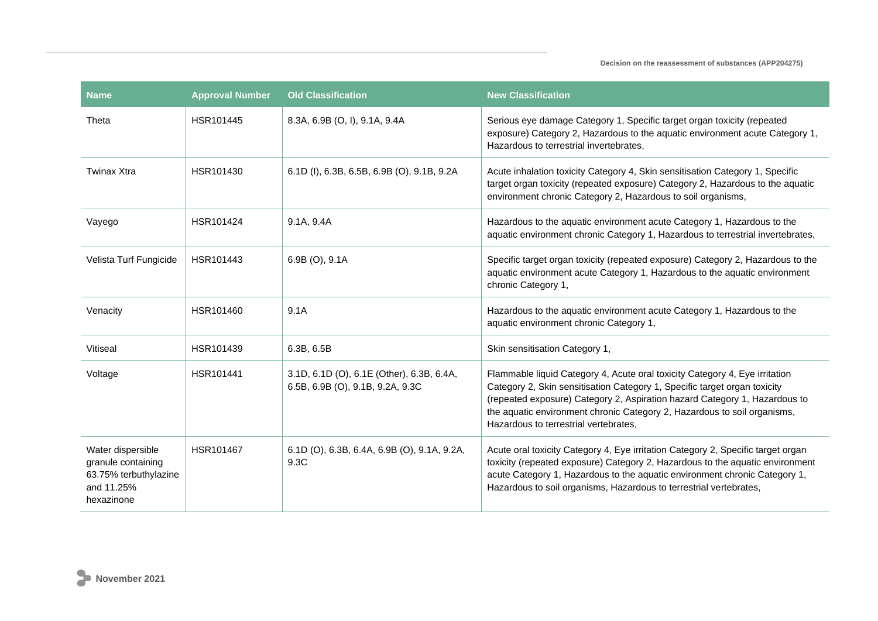| <b>Name</b>                                                                                  | <b>Approval Number</b> | <b>Old Classification</b>                                                     | <b>New Classification</b>                                                                                                                                                                                                                                                                                                                                   |
|----------------------------------------------------------------------------------------------|------------------------|-------------------------------------------------------------------------------|-------------------------------------------------------------------------------------------------------------------------------------------------------------------------------------------------------------------------------------------------------------------------------------------------------------------------------------------------------------|
| Theta                                                                                        | HSR101445              | 8.3A, 6.9B (O, I), 9.1A, 9.4A                                                 | Serious eye damage Category 1, Specific target organ toxicity (repeated<br>exposure) Category 2, Hazardous to the aquatic environment acute Category 1,<br>Hazardous to terrestrial invertebrates,                                                                                                                                                          |
| Twinax Xtra                                                                                  | HSR101430              | 6.1D (I), 6.3B, 6.5B, 6.9B (O), 9.1B, 9.2A                                    | Acute inhalation toxicity Category 4, Skin sensitisation Category 1, Specific<br>target organ toxicity (repeated exposure) Category 2, Hazardous to the aquatic<br>environment chronic Category 2, Hazardous to soil organisms,                                                                                                                             |
| Vayego                                                                                       | HSR101424              | 9.1A, 9.4A                                                                    | Hazardous to the aquatic environment acute Category 1, Hazardous to the<br>aquatic environment chronic Category 1, Hazardous to terrestrial invertebrates,                                                                                                                                                                                                  |
| Velista Turf Fungicide                                                                       | HSR101443              | 6.9B (O), 9.1A                                                                | Specific target organ toxicity (repeated exposure) Category 2, Hazardous to the<br>aquatic environment acute Category 1, Hazardous to the aquatic environment<br>chronic Category 1,                                                                                                                                                                        |
| Venacity                                                                                     | HSR101460              | 9.1A                                                                          | Hazardous to the aquatic environment acute Category 1, Hazardous to the<br>aquatic environment chronic Category 1,                                                                                                                                                                                                                                          |
| Vitiseal                                                                                     | HSR101439              | 6.3B, 6.5B                                                                    | Skin sensitisation Category 1,                                                                                                                                                                                                                                                                                                                              |
| Voltage                                                                                      | HSR101441              | 3.1D, 6.1D (O), 6.1E (Other), 6.3B, 6.4A,<br>6.5B, 6.9B (O), 9.1B, 9.2A, 9.3C | Flammable liquid Category 4, Acute oral toxicity Category 4, Eye irritation<br>Category 2, Skin sensitisation Category 1, Specific target organ toxicity<br>(repeated exposure) Category 2, Aspiration hazard Category 1, Hazardous to<br>the aquatic environment chronic Category 2, Hazardous to soil organisms,<br>Hazardous to terrestrial vertebrates. |
| Water dispersible<br>granule containing<br>63.75% terbuthylazine<br>and 11.25%<br>hexazinone | HSR101467              | 6.1D (O), 6.3B, 6.4A, 6.9B (O), 9.1A, 9.2A,<br>9.3C                           | Acute oral toxicity Category 4, Eye irritation Category 2, Specific target organ<br>toxicity (repeated exposure) Category 2, Hazardous to the aquatic environment<br>acute Category 1, Hazardous to the aquatic environment chronic Category 1,<br>Hazardous to soil organisms, Hazardous to terrestrial vertebrates,                                       |

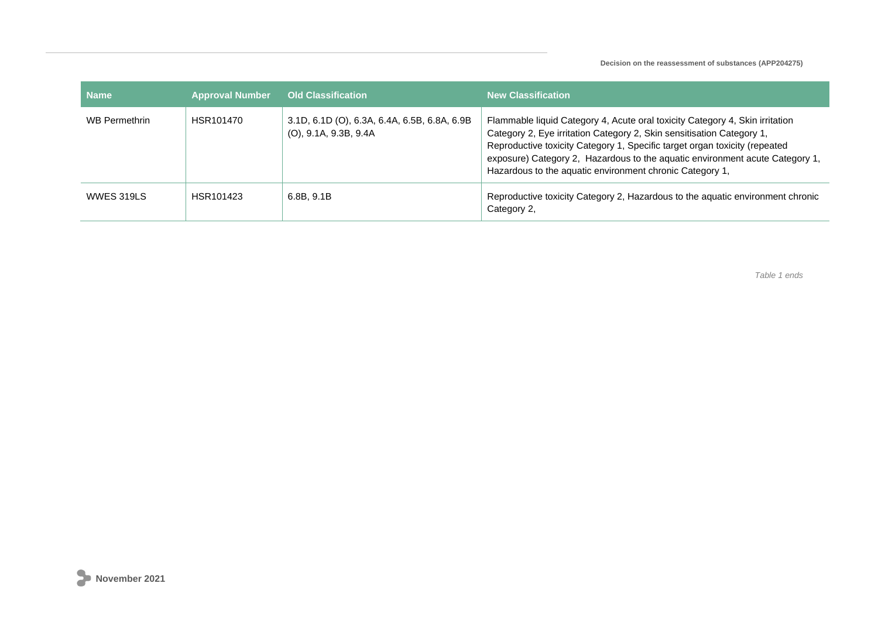| <b>Name</b>          | <b>Approval Number</b> | <b>Old Classification</b>                                                | <b>New Classification</b>                                                                                                                                                                                                                                                                                                                                                       |
|----------------------|------------------------|--------------------------------------------------------------------------|---------------------------------------------------------------------------------------------------------------------------------------------------------------------------------------------------------------------------------------------------------------------------------------------------------------------------------------------------------------------------------|
| <b>WB Permethrin</b> | HSR101470              | 3.1D, 6.1D (O), 6.3A, 6.4A, 6.5B, 6.8A, 6.9B<br>$(O)$ , 9.1A, 9.3B, 9.4A | Flammable liquid Category 4, Acute oral toxicity Category 4, Skin irritation<br>Category 2, Eye irritation Category 2, Skin sensitisation Category 1,<br>Reproductive toxicity Category 1, Specific target organ toxicity (repeated<br>exposure) Category 2, Hazardous to the aquatic environment acute Category 1,<br>Hazardous to the aquatic environment chronic Category 1, |
| <b>WWES 319LS</b>    | HSR101423              | 6.8B, 9.1B                                                               | Reproductive toxicity Category 2, Hazardous to the aquatic environment chronic<br>Category 2,                                                                                                                                                                                                                                                                                   |

*Table 1 ends*

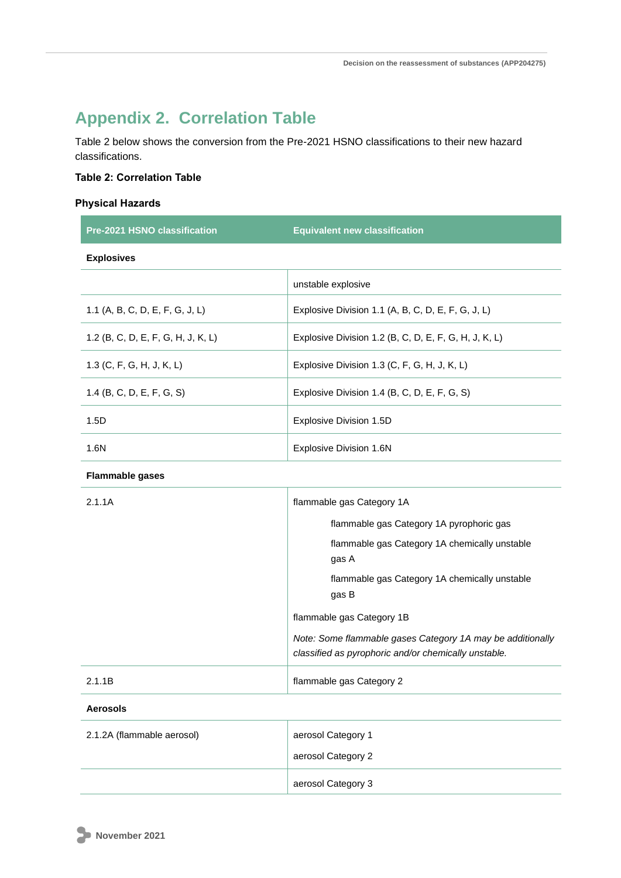## **Appendix 2. Correlation Table**

Table 2 below shows the conversion from the Pre-2021 HSNO classifications to their new hazard classifications.

## **Table 2: Correlation Table**

## **Physical Hazards**

| <b>Pre-2021 HSNO classification</b> | <b>Equivalent new classification</b>                  |
|-------------------------------------|-------------------------------------------------------|
| <b>Explosives</b>                   |                                                       |
|                                     | unstable explosive                                    |
| 1.1 (A, B, C, D, E, F, G, J, L)     | Explosive Division 1.1 (A, B, C, D, E, F, G, J, L)    |
| 1.2 (B, C, D, E, F, G, H, J, K, L)  | Explosive Division 1.2 (B, C, D, E, F, G, H, J, K, L) |
| 1.3 (C, F, G, H, J, K, L)           | Explosive Division 1.3 (C, F, G, H, J, K, L)          |
| 1.4 (B, C, D, E, F, G, S)           | Explosive Division 1.4 (B, C, D, E, F, G, S)          |
| 1.5D                                | Explosive Division 1.5D                               |
| 1.6N                                | Explosive Division 1.6N                               |

## **Flammable gases**

| 2.1.1A | flammable gas Category 1A                                                                                          |
|--------|--------------------------------------------------------------------------------------------------------------------|
|        | flammable gas Category 1A pyrophoric gas                                                                           |
|        | flammable gas Category 1A chemically unstable<br>gas A                                                             |
|        | flammable gas Category 1A chemically unstable<br>gas B                                                             |
|        | flammable gas Category 1B                                                                                          |
|        | Note: Some flammable gases Category 1A may be additionally<br>classified as pyrophoric and/or chemically unstable. |
| 2.1.1B | flammable gas Category 2                                                                                           |

#### **Aerosols**

| 2.1.2A (flammable aerosol) | aerosol Category 1<br>aerosol Category 2 |
|----------------------------|------------------------------------------|
|                            | aerosol Category 3                       |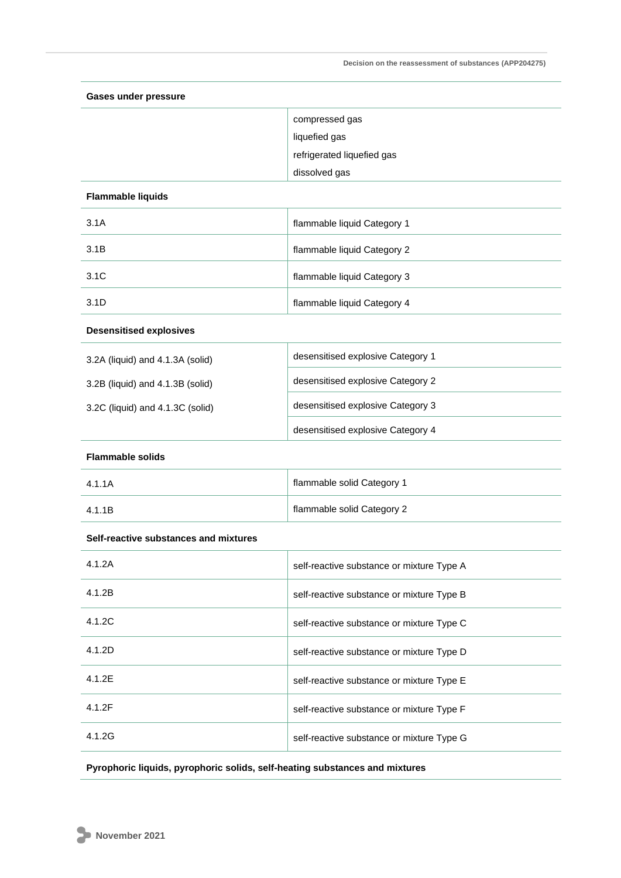| <b>Gases under pressure</b>           |                                           |  |
|---------------------------------------|-------------------------------------------|--|
|                                       | compressed gas                            |  |
|                                       | liquefied gas                             |  |
|                                       | refrigerated liquefied gas                |  |
|                                       | dissolved gas                             |  |
| <b>Flammable liquids</b>              |                                           |  |
| 3.1A                                  | flammable liquid Category 1               |  |
| 3.1B                                  | flammable liquid Category 2               |  |
| 3.1C                                  | flammable liquid Category 3               |  |
| 3.1D                                  | flammable liquid Category 4               |  |
| <b>Desensitised explosives</b>        |                                           |  |
| 3.2A (liquid) and 4.1.3A (solid)      | desensitised explosive Category 1         |  |
| 3.2B (liquid) and 4.1.3B (solid)      | desensitised explosive Category 2         |  |
| 3.2C (liquid) and 4.1.3C (solid)      | desensitised explosive Category 3         |  |
|                                       | desensitised explosive Category 4         |  |
| <b>Flammable solids</b>               |                                           |  |
| 4.1.1A                                | flammable solid Category 1                |  |
| 4.1.1B                                | flammable solid Category 2                |  |
| Self-reactive substances and mixtures |                                           |  |
| 4.1.2A                                | self-reactive substance or mixture Type A |  |
| 4.1.2B                                | self-reactive substance or mixture Type B |  |
| 4.1.2C                                | self-reactive substance or mixture Type C |  |
| 4.1.2D                                | self-reactive substance or mixture Type D |  |
| 4.1.2E                                | self-reactive substance or mixture Type E |  |
| 4.1.2F                                | self-reactive substance or mixture Type F |  |
| 4.1.2G                                | self-reactive substance or mixture Type G |  |
|                                       |                                           |  |

**Pyrophoric liquids, pyrophoric solids, self-heating substances and mixtures**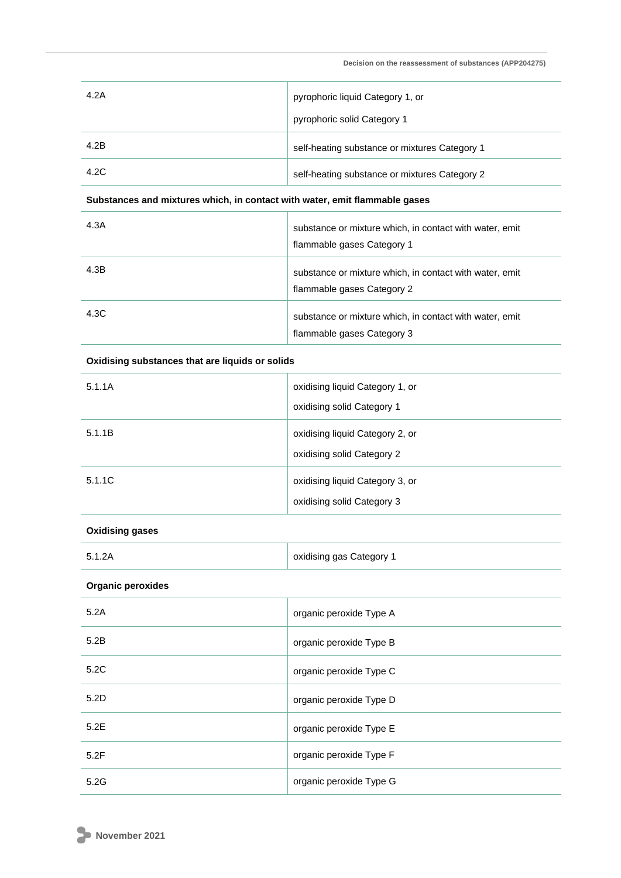| 4.2A | pyrophoric liquid Category 1, or<br>pyrophoric solid Category 1 |
|------|-----------------------------------------------------------------|
| 4.2B | self-heating substance or mixtures Category 1                   |
| 4.2C | self-heating substance or mixtures Category 2                   |

## **Substances and mixtures which, in contact with water, emit flammable gases**

| 4.3A | substance or mixture which, in contact with water, emit<br>flammable gases Category 1 |
|------|---------------------------------------------------------------------------------------|
| 4.3B | substance or mixture which, in contact with water, emit<br>flammable gases Category 2 |
| 4.3C | substance or mixture which, in contact with water, emit<br>flammable gases Category 3 |

## **Oxidising substances that are liquids or solids**

| 5.1.1A | oxidising liquid Category 1, or<br>oxidising solid Category 1 |
|--------|---------------------------------------------------------------|
| 5.1.1B | oxidising liquid Category 2, or<br>oxidising solid Category 2 |
| 5.1.1C | oxidising liquid Category 3, or<br>oxidising solid Category 3 |

### **Oxidising gases**

| 5.1.2A | oxidising gas Category 1 |
|--------|--------------------------|
|        |                          |

### **Organic peroxides**

| 5.2A | organic peroxide Type A |
|------|-------------------------|
| 5.2B | organic peroxide Type B |
| 5.2C | organic peroxide Type C |
| 5.2D | organic peroxide Type D |
| 5.2E | organic peroxide Type E |
| 5.2F | organic peroxide Type F |
| 5.2G | organic peroxide Type G |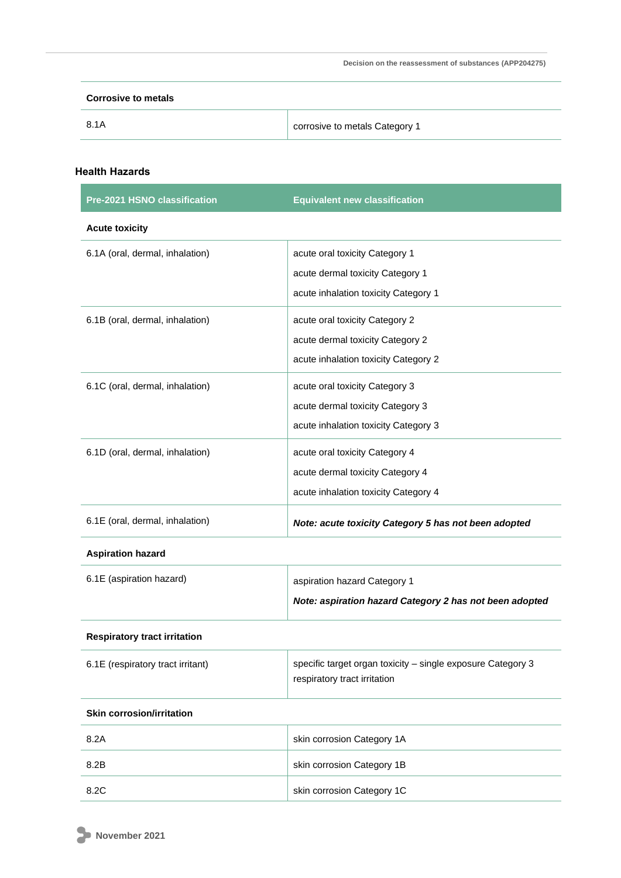| <b>Corrosive to metals</b> |                                |
|----------------------------|--------------------------------|
| 8.1A                       | corrosive to metals Category 1 |

## **Health Hazards**

| Pre-2021 HSNO classification        | <b>Equivalent new classification</b>                                                        |
|-------------------------------------|---------------------------------------------------------------------------------------------|
| <b>Acute toxicity</b>               |                                                                                             |
| 6.1A (oral, dermal, inhalation)     | acute oral toxicity Category 1                                                              |
|                                     | acute dermal toxicity Category 1                                                            |
|                                     | acute inhalation toxicity Category 1                                                        |
| 6.1B (oral, dermal, inhalation)     | acute oral toxicity Category 2                                                              |
|                                     | acute dermal toxicity Category 2                                                            |
|                                     | acute inhalation toxicity Category 2                                                        |
| 6.1C (oral, dermal, inhalation)     | acute oral toxicity Category 3                                                              |
|                                     | acute dermal toxicity Category 3                                                            |
|                                     | acute inhalation toxicity Category 3                                                        |
| 6.1D (oral, dermal, inhalation)     | acute oral toxicity Category 4                                                              |
|                                     | acute dermal toxicity Category 4                                                            |
|                                     | acute inhalation toxicity Category 4                                                        |
| 6.1E (oral, dermal, inhalation)     | Note: acute toxicity Category 5 has not been adopted                                        |
| <b>Aspiration hazard</b>            |                                                                                             |
| 6.1E (aspiration hazard)            | aspiration hazard Category 1                                                                |
|                                     | Note: aspiration hazard Category 2 has not been adopted                                     |
| <b>Respiratory tract irritation</b> |                                                                                             |
| 6.1E (respiratory tract irritant)   | specific target organ toxicity - single exposure Category 3<br>respiratory tract irritation |
| <b>Skin corrosion/irritation</b>    |                                                                                             |
| 8.2A                                | skin corrosion Category 1A                                                                  |
| 8.2B                                | skin corrosion Category 1B                                                                  |
| 8.2C                                | skin corrosion Category 1C                                                                  |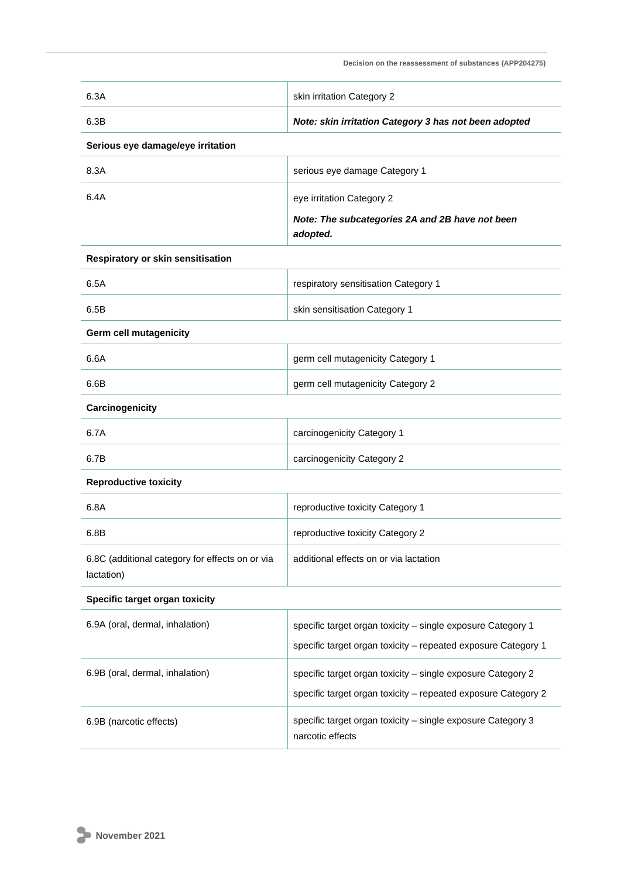| 6.3A                                                          | skin irritation Category 2                                                      |  |
|---------------------------------------------------------------|---------------------------------------------------------------------------------|--|
| 6.3B                                                          | Note: skin irritation Category 3 has not been adopted                           |  |
| Serious eye damage/eye irritation                             |                                                                                 |  |
| 8.3A                                                          | serious eye damage Category 1                                                   |  |
| 6.4A                                                          | eye irritation Category 2                                                       |  |
|                                                               | Note: The subcategories 2A and 2B have not been<br>adopted.                     |  |
| Respiratory or skin sensitisation                             |                                                                                 |  |
| 6.5A                                                          | respiratory sensitisation Category 1                                            |  |
| 6.5B                                                          | skin sensitisation Category 1                                                   |  |
| Germ cell mutagenicity                                        |                                                                                 |  |
| 6.6A                                                          | germ cell mutagenicity Category 1                                               |  |
| 6.6B                                                          | germ cell mutagenicity Category 2                                               |  |
| Carcinogenicity                                               |                                                                                 |  |
| 6.7A                                                          | carcinogenicity Category 1                                                      |  |
| 6.7B                                                          | carcinogenicity Category 2                                                      |  |
| <b>Reproductive toxicity</b>                                  |                                                                                 |  |
| 6.8A                                                          | reproductive toxicity Category 1                                                |  |
| 6.8B                                                          | reproductive toxicity Category 2                                                |  |
| 6.8C (additional category for effects on or via<br>lactation) | additional effects on or via lactation                                          |  |
| Specific target organ toxicity                                |                                                                                 |  |
| 6.9A (oral, dermal, inhalation)                               | specific target organ toxicity - single exposure Category 1                     |  |
|                                                               | specific target organ toxicity - repeated exposure Category 1                   |  |
| 6.9B (oral, dermal, inhalation)                               | specific target organ toxicity - single exposure Category 2                     |  |
|                                                               | specific target organ toxicity - repeated exposure Category 2                   |  |
| 6.9B (narcotic effects)                                       | specific target organ toxicity - single exposure Category 3<br>narcotic effects |  |